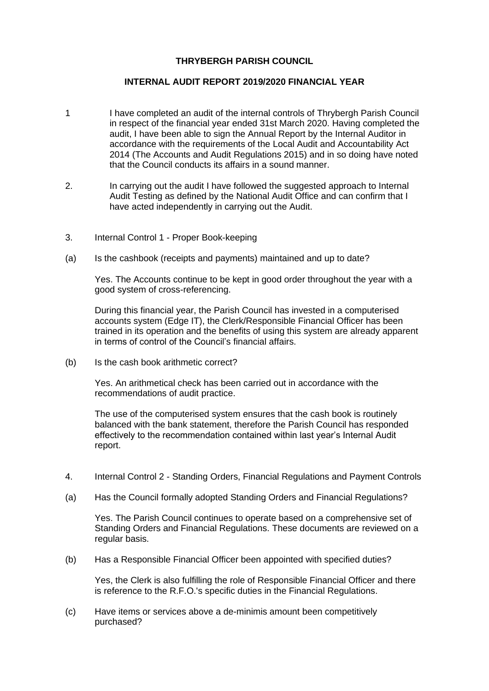# **THRYBERGH PARISH COUNCIL**

## **INTERNAL AUDIT REPORT 2019/2020 FINANCIAL YEAR**

- 1 I have completed an audit of the internal controls of Thrybergh Parish Council in respect of the financial year ended 31st March 2020. Having completed the audit. I have been able to sign the Annual Report by the Internal Auditor in accordance with the requirements of the Local Audit and Accountability Act 2014 (The Accounts and Audit Regulations 2015) and in so doing have noted that the Council conducts its affairs in a sound manner.
- 2. In carrying out the audit I have followed the suggested approach to Internal Audit Testing as defined by the National Audit Office and can confirm that I have acted independently in carrying out the Audit.
- 3. Internal Control 1 Proper Book-keeping
- (a) Is the cashbook (receipts and payments) maintained and up to date?

Yes. The Accounts continue to be kept in good order throughout the year with a good system of cross-referencing.

During this financial year, the Parish Council has invested in a computerised accounts system (Edge IT), the Clerk/Responsible Financial Officer has been trained in its operation and the benefits of using this system are already apparent in terms of control of the Council's financial affairs.

(b) Is the cash book arithmetic correct?

Yes. An arithmetical check has been carried out in accordance with the recommendations of audit practice.

The use of the computerised system ensures that the cash book is routinely balanced with the bank statement, therefore the Parish Council has responded effectively to the recommendation contained within last year's Internal Audit report.

- 4. Internal Control 2 Standing Orders, Financial Regulations and Payment Controls
- (a) Has the Council formally adopted Standing Orders and Financial Regulations?

Yes. The Parish Council continues to operate based on a comprehensive set of Standing Orders and Financial Regulations. These documents are reviewed on a regular basis.

(b) Has a Responsible Financial Officer been appointed with specified duties?

Yes, the Clerk is also fulfilling the role of Responsible Financial Officer and there is reference to the R.F.O.'s specific duties in the Financial Regulations.

(c) Have items or services above a de-minimis amount been competitively purchased?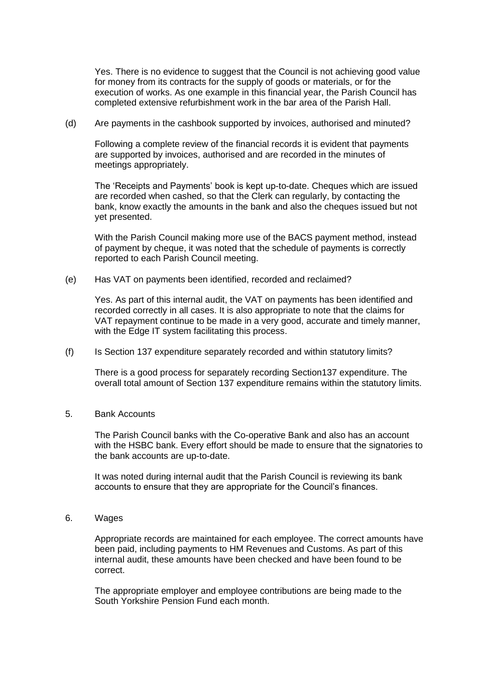Yes. There is no evidence to suggest that the Council is not achieving good value for money from its contracts for the supply of goods or materials, or for the execution of works. As one example in this financial year, the Parish Council has completed extensive refurbishment work in the bar area of the Parish Hall.

(d) Are payments in the cashbook supported by invoices, authorised and minuted?

Following a complete review of the financial records it is evident that payments are supported by invoices, authorised and are recorded in the minutes of meetings appropriately.

The 'Receipts and Payments' book is kept up-to-date. Cheques which are issued are recorded when cashed, so that the Clerk can regularly, by contacting the bank, know exactly the amounts in the bank and also the cheques issued but not yet presented.

With the Parish Council making more use of the BACS payment method, instead of payment by cheque, it was noted that the schedule of payments is correctly reported to each Parish Council meeting.

(e) Has VAT on payments been identified, recorded and reclaimed?

Yes. As part of this internal audit, the VAT on payments has been identified and recorded correctly in all cases. It is also appropriate to note that the claims for VAT repayment continue to be made in a very good, accurate and timely manner, with the Edge IT system facilitating this process.

(f) Is Section 137 expenditure separately recorded and within statutory limits?

There is a good process for separately recording Section137 expenditure. The overall total amount of Section 137 expenditure remains within the statutory limits.

## 5. Bank Accounts

The Parish Council banks with the Co-operative Bank and also has an account with the HSBC bank. Every effort should be made to ensure that the signatories to the bank accounts are up-to-date.

It was noted during internal audit that the Parish Council is reviewing its bank accounts to ensure that they are appropriate for the Council's finances.

6. Wages

Appropriate records are maintained for each employee. The correct amounts have been paid, including payments to HM Revenues and Customs. As part of this internal audit, these amounts have been checked and have been found to be correct.

The appropriate employer and employee contributions are being made to the South Yorkshire Pension Fund each month.